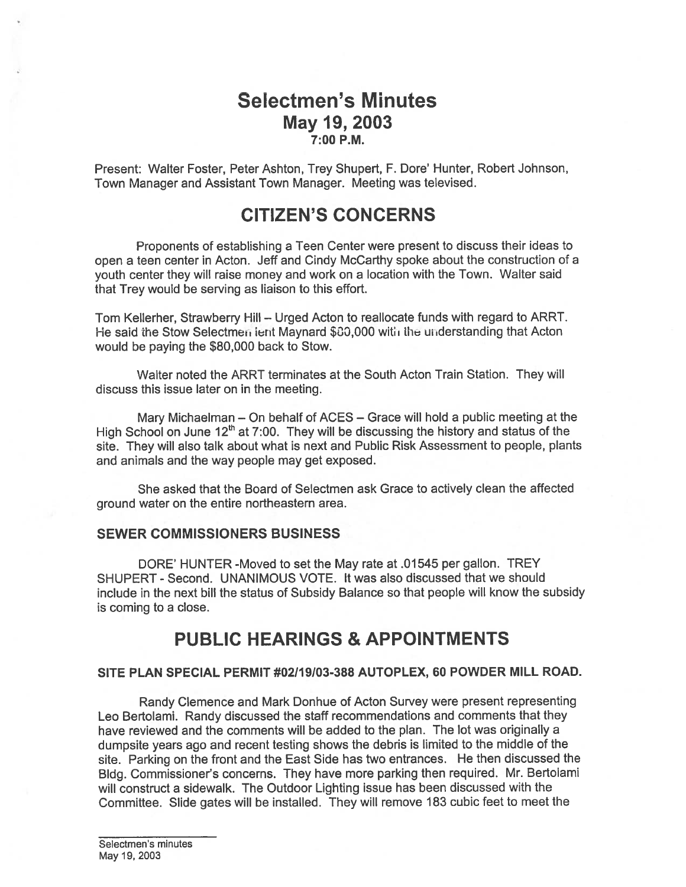## Selectmen's Minutes May 19, 2003 7:00 P.M.

Present: Walter Foster, Peter Ashton, Trey Shupert, F. Dore' Hunter, Robert Johnson, Town Manager and Assistant Town Manager. Meeting was televised.

# CITIZEN'S CONCERNS

Proponents of establishing <sup>a</sup> Teen Center were presen<sup>t</sup> to discuss their ideas to open <sup>a</sup> teen center in Acton. Jeff and Cindy McCarthy spoke about the construction of <sup>a</sup> youth center they will raise money and work on <sup>a</sup> location with the Town. Walter said that Trey would be serving as liaison to this effort.

Tom Kellerher, Strawberry Hill — Urged Acton to reallocate funds with regard to ARRT. He said the Stow Selectmen lent Maynard \$80,000 with the understanding that Acton would be paying the \$80,000 back to Stow.

Walter noted the ARRT terminates at the South Acton Train Station. They will discuss this issue later on in the meeting.

Mary Michaelman — On behalf of ACES — Grace will hold <sup>a</sup> public meeting at the High School on June  $12<sup>th</sup>$  at 7:00. They will be discussing the history and status of the site. They will also talk about what is next and Public Risk Assessment to people, <sup>p</sup>lants and animals and the way people may ge<sup>t</sup> exposed.

She asked that the Board of Selectmen ask Grace to actively clean the affected ground water on the entire northeastern area.

### SEWER COMMISSIONERS BUSINESS

DORE' HUNTER -Moved to set the May rate at .01545 per gallon. TREY SHUPERT - Second. UNANIMOUS VOTE. It was also discussed that we should include in the next bill the status of Subsidy Balance so that people will know the subsidy is coming to <sup>a</sup> close.

## PUBLIC HEARINGS & APPOINTMENTS

### SITE PLAN SPECIAL PERMIT #02119103-388 AUTOPLEX, 60 POWDER MILL ROAD.

Randy Clemence and Mark Donhue of Acton Survey were presen<sup>t</sup> representing Leo Bertolami. Randy discussed the staff recommendations and comments that they have reviewed and the comments will be added to the plan. The lot was originally <sup>a</sup> dumpsite years ago and recent testing shows the debris is limited to the middle of the site. Parking on the front and the East Side has two entrances. He then discussed the Bldg. Commissioner's concerns. They have more parking then required. Mr. Bertolami will construct <sup>a</sup> sidewalk. The Outdoor Lighting issue has been discussed with the Committee. Slide gates will be installed. They will remove <sup>183</sup> cubic feet to meet the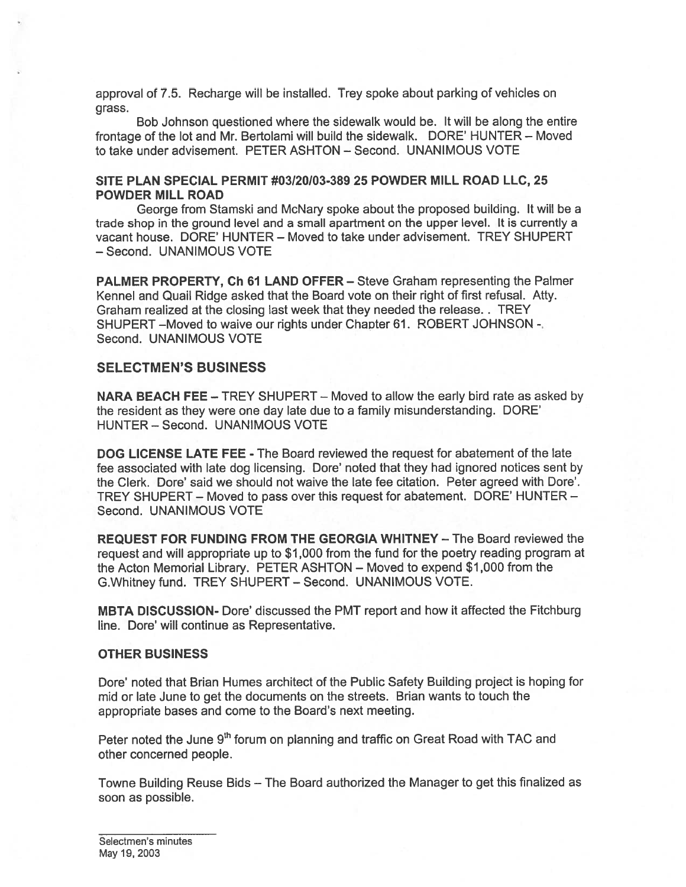approval of 7.5. Recharge will be installed. Trey spoke about parking of vehicles on grass.

Bob Johnson questioned where the sidewalk would be. It will be along the entire frontage of the lot and Mr. Bertolami will build the sidewalk. DORE' HUNTER - Moved to take under advisement. PETER ASHTON — Second. UNANIMOUS VOTE

#### SITE PLAN SPECIAL PERMIT #03120/03-389 25 POWDER MILL ROAD LLC, 25 POWDER MILL ROAD

George from Stamski and McNary spoke about the proposed building. It will be <sup>a</sup> trade shop in the ground level and <sup>a</sup> small apartment on the upper level. It is currently <sup>a</sup> vacant house. DORE' HUNTER — Moved to take under advisement. TREY SHUPERT — Second. UNANIMOUS VOTE

PALMER PROPERTY, Ch 61 LAND OFFER — Steve Graham representing the Palmer Kennel and Quail Ridge asked that the Board vote on their right of first refusal. Atty. Graham realized at the closing last week that they needed the release. . TREY SHUPERT —Moved to waive our rights under Chapter 61. ROBERT JOHNSON - Second. UNANIMOUS VOTE

### SELECTMEN'S BUSINESS

NARA BEACH FEE — TREY SHUPERT — Moved to allow the early bird rate as asked by the resident as they were one day late due to <sup>a</sup> family misunderstanding. DORE' HUNTER — Second. UNANIMOUS VOTE

DOG LICENSE LATE FEE - The Board reviewed the reques<sup>t</sup> for abatement of the late fee associated with late dog licensing. Dote' noted that they had ignored notices sent by the Clerk. Dore' said we should not waive the late fee citation. Peter agreed with Dore'. TREY SHUPERT — Moved to pass over this reques<sup>t</sup> for abatement. DORE' HUNTER — Second. UNANIMOUS VOTE

REQUEST FOR FUNDING FROM THE GEORGIA WHITNEY — The Board reviewed the reques<sup>t</sup> and will appropriate up to \$1 ,000 from the fund for the poetry reading program at the Acton Memorial Library. PETER ASHTON — Moved to expend \$1 ,000 from the G.Whitney fund. TREY SHUPERT — Second. UNANIMOUS VOTE.

MBTA DISCUSSION- Dote' discussed the PMT repor<sup>t</sup> and how it affected the Fitchburg line. Dore' will continue as Representative.

### OTHER BUSINESS

Dote' noted that Brian Humes architect of the Public Safety Building project is hoping for mid or late June to ge<sup>t</sup> the documents on the streets. Brian wants to touch the appropriate bases and come to the Board's next meeting.

Peter noted the June 9<sup>th</sup> forum on planning and traffic on Great Road with TAC and other concerned people.

Towne Building Reuse Bids — The Board authorized the Manager to ge<sup>t</sup> this finalized as soon as possible.

Selectmen's minutes May 19,2003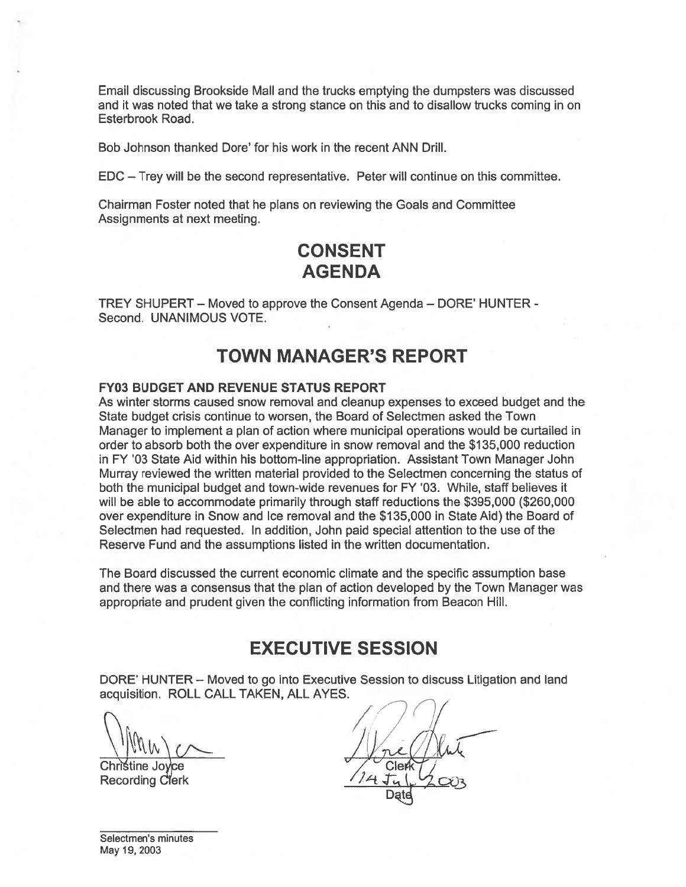Email discussing Brookside Mall and the trucks emptying the dumpsters was discussed and it was noted that we take <sup>a</sup> strong stance on this and to disallow trucks coming in on Esterbrook Road.

Bob Johnson thanked Dore' for his work in the recent ANN Drill.

EDC — Trey will be the second representative. Peter will continue on this committee.

Chairman Foster noted that he plans on reviewing the Goals and Committee Assignments at next meeting.

# CONSENT AGENDA

TREY SHUPERT — Moved to approve the Consent Agenda — DORE' HUNTER - Second. UNANIMOUS VOTE.

# TOWN MANAGER'S REPORT

### FY03 BUDGET AND REVENUE STATUS REPORT

As winter storms caused snow removal and cleanup expenses to exceed budget and the State budget crisis continue to worsen, the Board of Selectmen asked the Town Manager to implement <sup>a</sup> plan of action where municipal operations would be curtailed in order to absorb both the over expenditure in snow removal and the \$135,000 reduction in FY '03 State Aid within his bottom-line appropriation. Assistant Town Manager John Murray reviewed the written material provided to the Selectmen concerning the status of both the municipal budget and town-wide revenues for FY '03. While, staff believes it will be able to accommodate primarily through staff reductions the \$395,000 (\$260,000 over expenditure in Snow and Ice removal and the \$135,000 in State Aid) the Board of Selectmen had requested. In addition, John paid special attention to the use of the Reserve Fund and the assumptions listed in the written documentation. Email discussing Brookside Mall and the trucks emptying the due<br>of the was related that we take a strong stance on this and to disa<br>stationook Road.<br>Bob Johnson thanked Dore' for his work in the recent ANN Drill.<br>EDC – Tr

The Board discussed the current economic climate and the specific assumption base and there was <sup>a</sup> consensus that the plan of action developed by the Town Manager was appropriate and prudent given the conflicting information from Beacon Hill.

## EXECUTIVE SESSION

DORE' HUNTER — Moved to go into Executive Session to discuss Litigation and land acquisition. ROLL CALL TAKEN, ALL AYES.

 $\bigcap_{i=1}^n$ 

Christine Joyce<br>Recording Clerk

Date

Selectmen's minutes May 19, 2003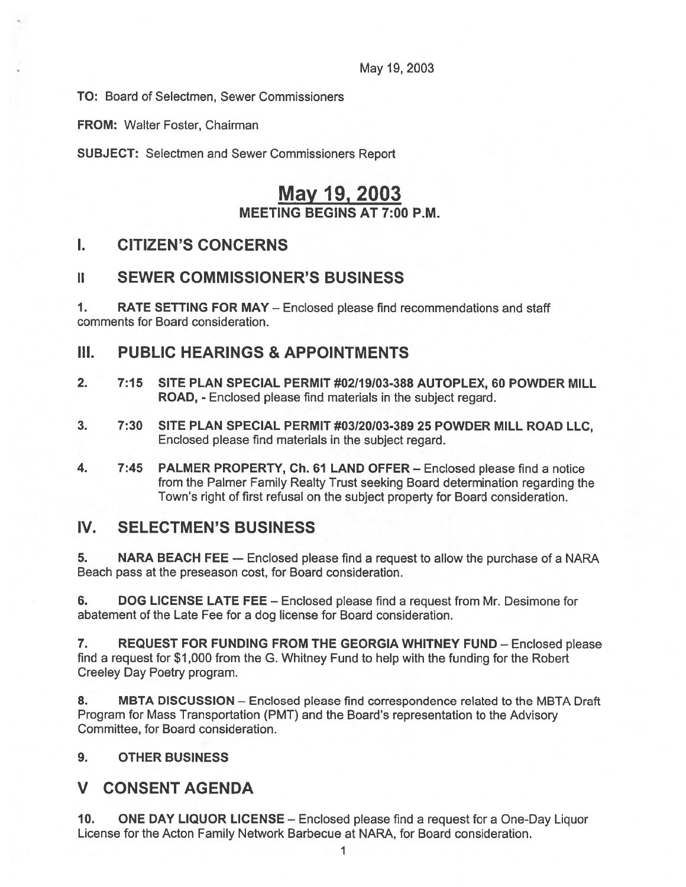May 19, 2003

TO: Board of Selectmen, Sewer Commissioners

FROM: Walter Foster, Chairman

SUBJECT: Selectmen and Sewer Commissioners Report

# May 19, 2003 MEETING BEGINS AT 7:00 P.M.

## I. CITIZEN'S CONCERNS

## II SEWER COMMISSIONER'S BUSINESS

1. RATE SETTING FOR MAY — Enclosed please find recommendations and staff comments for Board consideration.

## III. PUBLIC HEARINGS & APPOINTMENTS

- 2. 7:15 SITE PLAN SPECIAL PERMIT #02/19/03-388 AUTOPLEX, 60 POWDER MILL ROAD, - Enclosed please find materials in the subject regard.
- 3. 7:30 SITE PLAN SPECIAL PERMIT #03/20103-389 25 POWDER MILL ROAD LLC, Enclosed please find materials in the subject regard.
- 4. 7:45 PALMER PROPERTY, Ch. 61 LAND OFFER Enclosed please find a notice from the Palmer Family Realty Trust seeking Board determination regarding the Town's right of first refusal on the subject property for Board consideration.

## IV. SELECTMEN'S BUSINESS

5. NARA BEACH FEE — Enclosed please find <sup>a</sup> reques<sup>t</sup> to allow the purchase of <sup>a</sup> NARA Beach pass at the preseason cost, for Board consideration.

6. DOG LICENSE LATE FEE – Enclosed please find a request from Mr. Desimone for abatement of the Late Fee for <sup>a</sup> dog license for Board consideration.

7. REQUEST FOR FUNDING FROM THE GEORGIA WHITNEY FUND — Enclosed please find <sup>a</sup> reques<sup>t</sup> for \$1,000 from the G. Whitney Fund to help with the funding for the Robert Creeley Day Poetry program.

8. MBTA DISCUSSION – Enclosed please find correspondence related to the MBTA Draft Program for Mass Transportation (PMT) and the Board's representation to the Advisory Committee, for Board consideration.

### 9. OTHER BUSINESS

### V CONSENT AGENDA

10. ONE DAY LIQUOR LICENSE — Enclosed please find <sup>a</sup> reques<sup>t</sup> for <sup>a</sup> One-Day Liquor License for the Acton Family Network Barbecue at NARA, for Board consideration.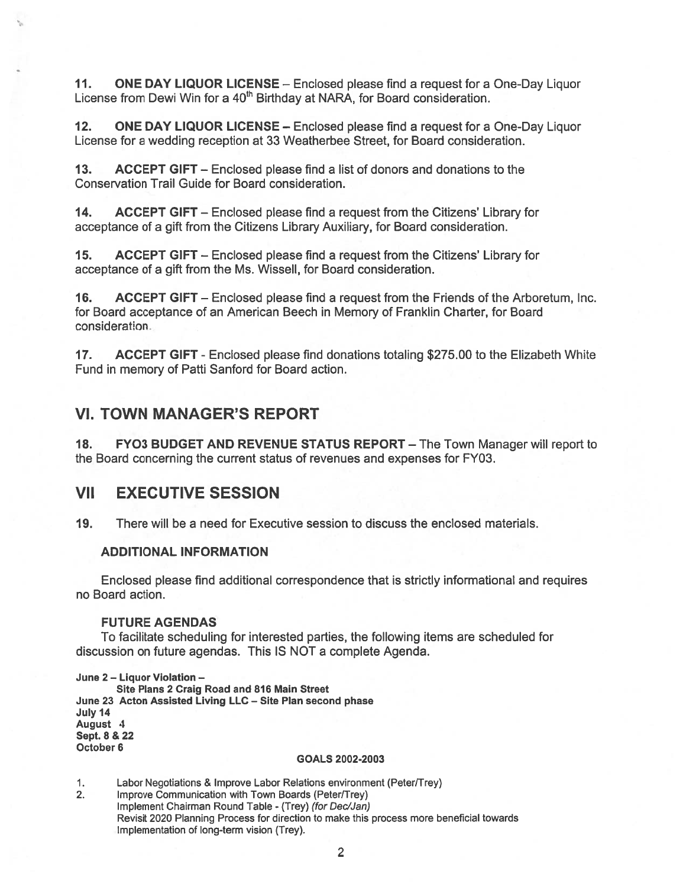11. ONE DAY LIQUOR LICENSE - Enclosed please find a request for a One-Day Liquor License from Dewi Win for a 40<sup>th</sup> Birthday at NARA, for Board consideration.

12. ONE DAY LIQUOR LICENSE — Enclosed please find <sup>a</sup> reques<sup>t</sup> for <sup>a</sup> One-Day Liquor License for <sup>a</sup> wedding reception at 33 Weatherbee Street, for Board consideration.

13. ACCEPT GIFT — Enclosed please find <sup>a</sup> list of donors and donations to the Conservation Trail Guide for Board consideration.

14. ACCEPT GIFT — Enclosed please find <sup>a</sup> reques<sup>t</sup> from the Citizens' Library for acceptance of <sup>a</sup> gift from the Citizens Library Auxiliary, for Board consideration.

15. ACCEPT GIFT — Enclosed please find <sup>a</sup> reques<sup>t</sup> from the Citizens' Library for acceptance of <sup>a</sup> gift from the Ms. Wissell, for Board consideration.

16. ACCEPT GIFT — Enclosed please find <sup>a</sup> reques<sup>t</sup> from the Friends of the Arboretum, Inc. for Board acceptance of an American Beech in Memory of Franklin Charter, for Board consideration

17. ACCEPT GIFT - Enclosed please find donations totaling \$275.00 to the Elizabeth White Fund in memory of Patti Sanford for Board action.

### VI. TOWN MANAGER'S REPORT

18. FYO3 BUDGET AND REVENUE STATUS REPORT - The Town Manager will report to the Board concerning the current status of revenues and expenses for FY03.

### VII EXECUTIVE SESSION

19. There will be <sup>a</sup> need for Executive session to discuss the enclosed materials.

#### ADDITIONAL INFORMATION

Enclosed please find additional correspondence that is strictly informational and requires no Board action.

#### FUTURE AGENDAS

To facilitate scheduling for interested parties, the following items are scheduled for discussion on future agendas. This IS NOT <sup>a</sup> complete Agenda.

June 2 — Liquor Violation —

Site Plans 2 Craig Road and 816 Main Street June 23 Acton Assisted Living LLC — Site Plan second phase July 14 August 4 Sept. 8 & 22 October 6

#### GOALS 2002-2003

1. Labor Negotiations & Improve Labor Relations environment (Peter/Trey)

2. Improve Communication with Town Boards (Peter/Trey) Implement Chairman Round Table - (Trey) (for Dec/Jan) Revisit 2020 Planning Process for direction to make this process more beneficial towards Implementation of long-term vision (Trey).